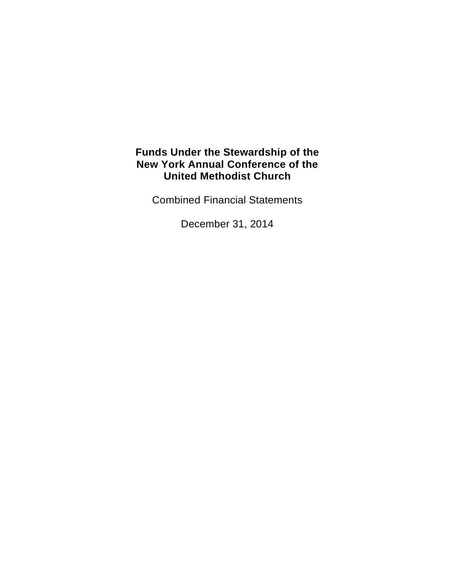Combined Financial Statements

December 31, 2014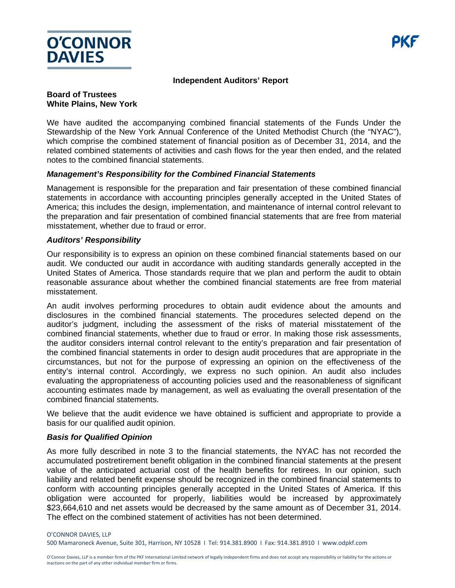

#### **Independent Auditors' Report**

#### **Board of Trustees White Plains, New York**

We have audited the accompanying combined financial statements of the Funds Under the Stewardship of the New York Annual Conference of the United Methodist Church (the "NYAC"), which comprise the combined statement of financial position as of December 31, 2014, and the related combined statements of activities and cash flows for the year then ended, and the related notes to the combined financial statements.

#### *Management's Responsibility for the Combined Financial Statements*

Management is responsible for the preparation and fair presentation of these combined financial statements in accordance with accounting principles generally accepted in the United States of America; this includes the design, implementation, and maintenance of internal control relevant to the preparation and fair presentation of combined financial statements that are free from material misstatement, whether due to fraud or error.

#### *Auditors' Responsibility*

Our responsibility is to express an opinion on these combined financial statements based on our audit. We conducted our audit in accordance with auditing standards generally accepted in the United States of America. Those standards require that we plan and perform the audit to obtain reasonable assurance about whether the combined financial statements are free from material misstatement.

An audit involves performing procedures to obtain audit evidence about the amounts and disclosures in the combined financial statements. The procedures selected depend on the auditor's judgment, including the assessment of the risks of material misstatement of the combined financial statements, whether due to fraud or error. In making those risk assessments, the auditor considers internal control relevant to the entity's preparation and fair presentation of the combined financial statements in order to design audit procedures that are appropriate in the circumstances, but not for the purpose of expressing an opinion on the effectiveness of the entity's internal control. Accordingly, we express no such opinion. An audit also includes evaluating the appropriateness of accounting policies used and the reasonableness of significant accounting estimates made by management, as well as evaluating the overall presentation of the combined financial statements.

We believe that the audit evidence we have obtained is sufficient and appropriate to provide a basis for our qualified audit opinion.

#### *Basis for Qualified Opinion*

As more fully described in note 3 to the financial statements, the NYAC has not recorded the accumulated postretirement benefit obligation in the combined financial statements at the present value of the anticipated actuarial cost of the health benefits for retirees. In our opinion, such liability and related benefit expense should be recognized in the combined financial statements to conform with accounting principles generally accepted in the United States of America. If this obligation were accounted for properly, liabilities would be increased by approximately \$23,664,610 and net assets would be decreased by the same amount as of December 31, 2014. The effect on the combined statement of activities has not been determined.

O'CONNOR DAVIES, LLP

500 Mamaroneck Avenue, Suite 301, Harrison, NY 10528 I Tel: 914.381.8900 I Fax: 914.381.8910 I www.odpkf.com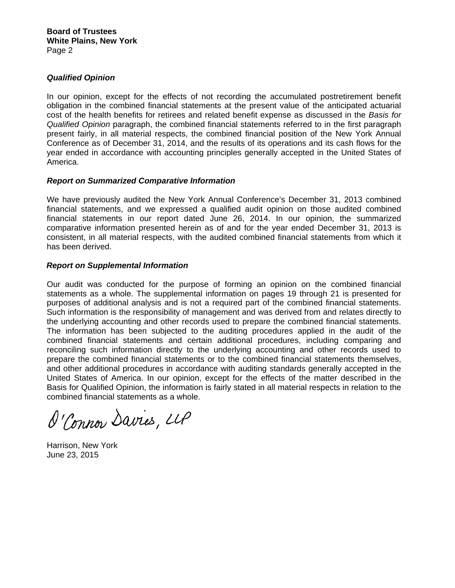### *Qualified Opinion*

In our opinion, except for the effects of not recording the accumulated postretirement benefit obligation in the combined financial statements at the present value of the anticipated actuarial cost of the health benefits for retirees and related benefit expense as discussed in the *Basis for Qualified Opinion* paragraph, the combined financial statements referred to in the first paragraph present fairly, in all material respects, the combined financial position of the New York Annual Conference as of December 31, 2014, and the results of its operations and its cash flows for the year ended in accordance with accounting principles generally accepted in the United States of America.

#### *Report on Summarized Comparative Information*

We have previously audited the New York Annual Conference's December 31, 2013 combined financial statements, and we expressed a qualified audit opinion on those audited combined financial statements in our report dated June 26, 2014. In our opinion, the summarized comparative information presented herein as of and for the year ended December 31, 2013 is consistent, in all material respects, with the audited combined financial statements from which it has been derived.

#### *Report on Supplemental Information*

Our audit was conducted for the purpose of forming an opinion on the combined financial statements as a whole. The supplemental information on pages 19 through 21 is presented for purposes of additional analysis and is not a required part of the combined financial statements. Such information is the responsibility of management and was derived from and relates directly to the underlying accounting and other records used to prepare the combined financial statements. The information has been subjected to the auditing procedures applied in the audit of the combined financial statements and certain additional procedures, including comparing and reconciling such information directly to the underlying accounting and other records used to prepare the combined financial statements or to the combined financial statements themselves, and other additional procedures in accordance with auditing standards generally accepted in the United States of America. In our opinion, except for the effects of the matter described in the Basis for Qualified Opinion, the information is fairly stated in all material respects in relation to the combined financial statements as a whole.

O'Connor Davies, UP

Harrison, New York June 23, 2015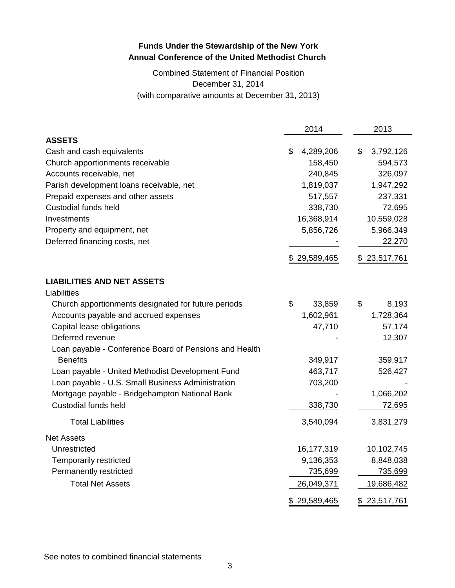# Combined Statement of Financial Position December 31, 2014 (with comparative amounts at December 31, 2013)

|                                                        | 2014            | 2013            |
|--------------------------------------------------------|-----------------|-----------------|
| <b>ASSETS</b>                                          |                 |                 |
| Cash and cash equivalents                              | \$<br>4,289,206 | \$<br>3,792,126 |
| Church apportionments receivable                       | 158,450         | 594,573         |
| Accounts receivable, net                               | 240,845         | 326,097         |
| Parish development loans receivable, net               | 1,819,037       | 1,947,292       |
| Prepaid expenses and other assets                      | 517,557         | 237,331         |
| <b>Custodial funds held</b>                            | 338,730         | 72,695          |
| Investments                                            | 16,368,914      | 10,559,028      |
| Property and equipment, net                            | 5,856,726       | 5,966,349       |
| Deferred financing costs, net                          |                 | 22,270          |
|                                                        | \$29,589,465    | \$23,517,761    |
| <b>LIABILITIES AND NET ASSETS</b>                      |                 |                 |
| Liabilities                                            |                 |                 |
| Church apportionments designated for future periods    | \$<br>33,859    | \$<br>8,193     |
| Accounts payable and accrued expenses                  | 1,602,961       | 1,728,364       |
| Capital lease obligations                              | 47,710          | 57,174          |
| Deferred revenue                                       |                 | 12,307          |
| Loan payable - Conference Board of Pensions and Health |                 |                 |
| <b>Benefits</b>                                        | 349,917         | 359,917         |
| Loan payable - United Methodist Development Fund       | 463,717         | 526,427         |
| Loan payable - U.S. Small Business Administration      | 703,200         |                 |
| Mortgage payable - Bridgehampton National Bank         |                 | 1,066,202       |
| <b>Custodial funds held</b>                            | 338,730         | 72,695          |
| <b>Total Liabilities</b>                               | 3,540,094       | 3,831,279       |
| <b>Net Assets</b>                                      |                 |                 |
| Unrestricted                                           | 16,177,319      | 10,102,745      |
| Temporarily restricted                                 | 9,136,353       | 8,848,038       |
| Permanently restricted                                 | 735,699         | <u>735,699</u>  |
| <b>Total Net Assets</b>                                | 26,049,371      | 19,686,482      |
|                                                        | \$29,589,465    | \$23,517,761    |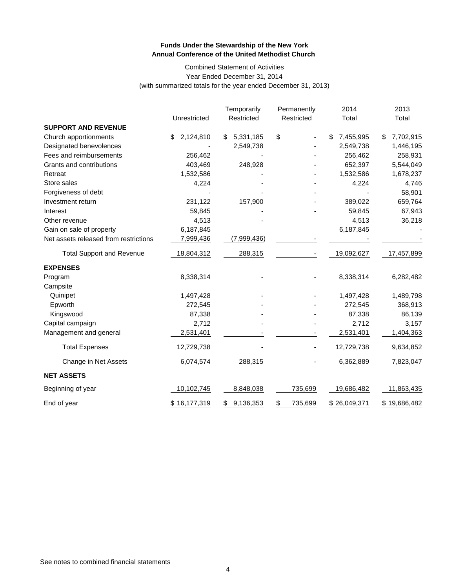#### Combined Statement of Activities Year Ended December 31, 2014 (with summarized totals for the year ended December 31, 2013)

|                                       | Unrestricted    | Temporarily<br>Restricted | Permanently<br>Restricted | 2014<br>Total   | 2013<br>Total   |
|---------------------------------------|-----------------|---------------------------|---------------------------|-----------------|-----------------|
| <b>SUPPORT AND REVENUE</b>            |                 |                           |                           |                 |                 |
| Church apportionments                 | \$<br>2,124,810 | 5,331,185<br>\$           | \$                        | 7,455,995<br>\$ | 7,702,915<br>\$ |
| Designated benevolences               |                 | 2,549,738                 |                           | 2,549,738       | 1,446,195       |
| Fees and reimbursements               | 256,462         |                           |                           | 256,462         | 258,931         |
| Grants and contributions              | 403,469         | 248,928                   |                           | 652,397         | 5,544,049       |
| Retreat                               | 1,532,586       |                           |                           | 1,532,586       | 1,678,237       |
| Store sales                           | 4,224           |                           |                           | 4,224           | 4,746           |
| Forgiveness of debt                   |                 |                           |                           |                 | 58,901          |
| Investment return                     | 231,122         | 157,900                   |                           | 389,022         | 659,764         |
| Interest                              | 59,845          |                           |                           | 59,845          | 67,943          |
| Other revenue                         | 4,513           |                           |                           | 4,513           | 36,218          |
| Gain on sale of property              | 6,187,845       |                           |                           | 6,187,845       |                 |
| Net assets released from restrictions | 7,999,436       | (7,999,436)               |                           |                 |                 |
| <b>Total Support and Revenue</b>      | 18,804,312      | 288,315                   |                           | 19,092,627      | 17,457,899      |
| <b>EXPENSES</b>                       |                 |                           |                           |                 |                 |
| Program                               | 8,338,314       |                           |                           | 8,338,314       | 6,282,482       |
| Campsite                              |                 |                           |                           |                 |                 |
| Quinipet                              | 1,497,428       |                           |                           | 1,497,428       | 1,489,798       |
| Epworth                               | 272,545         |                           |                           | 272,545         | 368,913         |
| Kingswood                             | 87,338          |                           |                           | 87,338          | 86,139          |
| Capital campaign                      | 2,712           |                           |                           | 2,712           | 3,157           |
| Management and general                | 2,531,401       |                           |                           | 2,531,401       | 1,404,363       |
| <b>Total Expenses</b>                 | 12,729,738      |                           |                           | 12,729,738      | 9,634,852       |
| Change in Net Assets                  | 6,074,574       | 288,315                   |                           | 6,362,889       | 7,823,047       |
| <b>NET ASSETS</b>                     |                 |                           |                           |                 |                 |
| Beginning of year                     | 10,102,745      | 8,848,038                 | 735,699                   | 19,686,482      | 11,863,435      |
| End of year                           | \$16,177,319    | 9,136,353<br>S            | 735,699<br>\$             | \$26,049,371    | \$19,686,482    |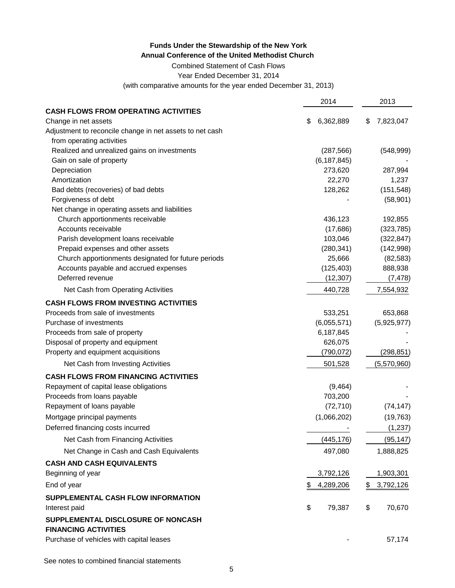Combined Statement of Cash Flows

Year Ended December 31, 2014

(with comparative amounts for the year ended December 31, 2013)

|                                                                   | 2014            | 2013            |
|-------------------------------------------------------------------|-----------------|-----------------|
| <b>CASH FLOWS FROM OPERATING ACTIVITIES</b>                       |                 |                 |
| Change in net assets                                              | 6,362,889<br>\$ | 7,823,047<br>\$ |
| Adjustment to reconcile change in net assets to net cash          |                 |                 |
| from operating activities                                         |                 |                 |
| Realized and unrealized gains on investments                      | (287, 566)      | (548, 999)      |
| Gain on sale of property                                          | (6, 187, 845)   |                 |
| Depreciation                                                      | 273,620         | 287,994         |
| Amortization                                                      | 22,270          | 1,237           |
| Bad debts (recoveries) of bad debts                               | 128,262         | (151, 548)      |
| Forgiveness of debt                                               |                 | (58, 901)       |
| Net change in operating assets and liabilities                    |                 |                 |
| Church apportionments receivable                                  | 436,123         | 192,855         |
| Accounts receivable                                               | (17,686)        | (323, 785)      |
| Parish development loans receivable                               | 103,046         | (322, 847)      |
| Prepaid expenses and other assets                                 | (280, 341)      | (142,998)       |
| Church apportionments designated for future periods               | 25,666          | (82, 583)       |
| Accounts payable and accrued expenses                             | (125, 403)      | 888,938         |
| Deferred revenue                                                  | (12, 307)       | (7, 478)        |
| Net Cash from Operating Activities                                | 440,728         | 7,554,932       |
| <b>CASH FLOWS FROM INVESTING ACTIVITIES</b>                       |                 |                 |
| Proceeds from sale of investments                                 | 533,251         | 653,868         |
| Purchase of investments                                           | (6,055,571)     | (5,925,977)     |
| Proceeds from sale of property                                    | 6,187,845       |                 |
| Disposal of property and equipment                                | 626,075         |                 |
| Property and equipment acquisitions                               | (790, 072)      | (298, 851)      |
| Net Cash from Investing Activities                                | 501,528         | (5,570,960)     |
| <b>CASH FLOWS FROM FINANCING ACTIVITIES</b>                       |                 |                 |
| Repayment of capital lease obligations                            | (9,464)         |                 |
| Proceeds from loans payable                                       | 703,200         |                 |
| Repayment of loans payable                                        | (72, 710)       | (74, 147)       |
| Mortgage principal payments                                       | (1,066,202)     | (19, 763)       |
| Deferred financing costs incurred                                 |                 | (1, 237)        |
| Net Cash from Financing Activities                                | (445, 176)      | (95, 147)       |
| Net Change in Cash and Cash Equivalents                           | 497,080         | 1,888,825       |
| <b>CASH AND CASH EQUIVALENTS</b>                                  |                 |                 |
| Beginning of year                                                 | 3,792,126       | 1,903,301       |
| End of year                                                       | 4,289,206<br>\$ | 3,792,126<br>\$ |
| SUPPLEMENTAL CASH FLOW INFORMATION                                |                 |                 |
| Interest paid                                                     | \$<br>79,387    | \$<br>70,670    |
| SUPPLEMENTAL DISCLOSURE OF NONCASH<br><b>FINANCING ACTIVITIES</b> |                 |                 |
| Purchase of vehicles with capital leases                          |                 | 57,174          |
|                                                                   |                 |                 |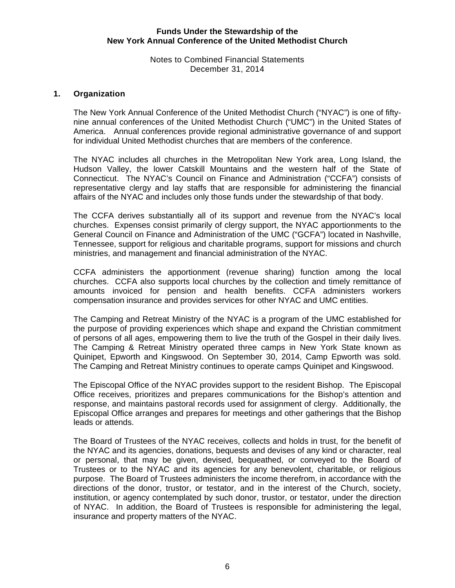### Notes to Combined Financial Statements December 31, 2014

## **1. Organization**

The New York Annual Conference of the United Methodist Church ("NYAC") is one of fiftynine annual conferences of the United Methodist Church ("UMC") in the United States of America. Annual conferences provide regional administrative governance of and support for individual United Methodist churches that are members of the conference.

The NYAC includes all churches in the Metropolitan New York area, Long Island, the Hudson Valley, the lower Catskill Mountains and the western half of the State of Connecticut. The NYAC's Council on Finance and Administration ("CCFA") consists of representative clergy and lay staffs that are responsible for administering the financial affairs of the NYAC and includes only those funds under the stewardship of that body.

The CCFA derives substantially all of its support and revenue from the NYAC's local churches. Expenses consist primarily of clergy support, the NYAC apportionments to the General Council on Finance and Administration of the UMC ("GCFA") located in Nashville, Tennessee, support for religious and charitable programs, support for missions and church ministries, and management and financial administration of the NYAC.

CCFA administers the apportionment (revenue sharing) function among the local churches. CCFA also supports local churches by the collection and timely remittance of amounts invoiced for pension and health benefits. CCFA administers workers compensation insurance and provides services for other NYAC and UMC entities.

The Camping and Retreat Ministry of the NYAC is a program of the UMC established for the purpose of providing experiences which shape and expand the Christian commitment of persons of all ages, empowering them to live the truth of the Gospel in their daily lives. The Camping & Retreat Ministry operated three camps in New York State known as Quinipet, Epworth and Kingswood. On September 30, 2014, Camp Epworth was sold. The Camping and Retreat Ministry continues to operate camps Quinipet and Kingswood.

The Episcopal Office of the NYAC provides support to the resident Bishop. The Episcopal Office receives, prioritizes and prepares communications for the Bishop's attention and response, and maintains pastoral records used for assignment of clergy. Additionally, the Episcopal Office arranges and prepares for meetings and other gatherings that the Bishop leads or attends.

The Board of Trustees of the NYAC receives, collects and holds in trust, for the benefit of the NYAC and its agencies, donations, bequests and devises of any kind or character, real or personal, that may be given, devised, bequeathed, or conveyed to the Board of Trustees or to the NYAC and its agencies for any benevolent, charitable, or religious purpose. The Board of Trustees administers the income therefrom, in accordance with the directions of the donor, trustor, or testator, and in the interest of the Church, society, institution, or agency contemplated by such donor, trustor, or testator, under the direction of NYAC. In addition, the Board of Trustees is responsible for administering the legal, insurance and property matters of the NYAC.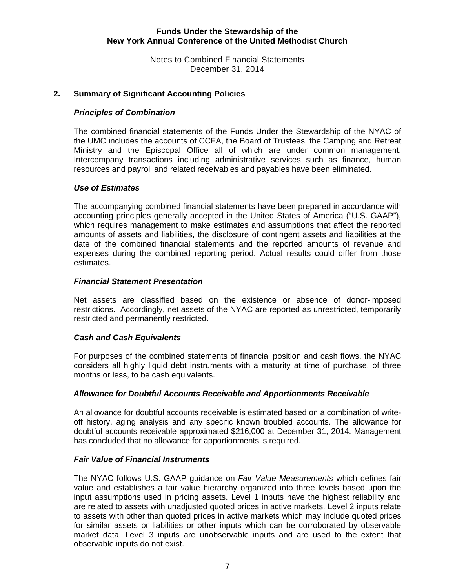Notes to Combined Financial Statements December 31, 2014

## **2. Summary of Significant Accounting Policies**

#### *Principles of Combination*

The combined financial statements of the Funds Under the Stewardship of the NYAC of the UMC includes the accounts of CCFA, the Board of Trustees, the Camping and Retreat Ministry and the Episcopal Office all of which are under common management. Intercompany transactions including administrative services such as finance, human resources and payroll and related receivables and payables have been eliminated.

### *Use of Estimates*

The accompanying combined financial statements have been prepared in accordance with accounting principles generally accepted in the United States of America ("U.S. GAAP"), which requires management to make estimates and assumptions that affect the reported amounts of assets and liabilities, the disclosure of contingent assets and liabilities at the date of the combined financial statements and the reported amounts of revenue and expenses during the combined reporting period. Actual results could differ from those estimates.

### *Financial Statement Presentation*

Net assets are classified based on the existence or absence of donor-imposed restrictions. Accordingly, net assets of the NYAC are reported as unrestricted, temporarily restricted and permanently restricted.

# *Cash and Cash Equivalents*

For purposes of the combined statements of financial position and cash flows, the NYAC considers all highly liquid debt instruments with a maturity at time of purchase, of three months or less, to be cash equivalents.

#### *Allowance for Doubtful Accounts Receivable and Apportionments Receivable*

An allowance for doubtful accounts receivable is estimated based on a combination of writeoff history, aging analysis and any specific known troubled accounts. The allowance for doubtful accounts receivable approximated \$216,000 at December 31, 2014. Management has concluded that no allowance for apportionments is required.

#### *Fair Value of Financial Instruments*

 The NYAC follows U.S. GAAP guidance on *Fair Value Measurements* which defines fair value and establishes a fair value hierarchy organized into three levels based upon the input assumptions used in pricing assets. Level 1 inputs have the highest reliability and are related to assets with unadjusted quoted prices in active markets. Level 2 inputs relate to assets with other than quoted prices in active markets which may include quoted prices for similar assets or liabilities or other inputs which can be corroborated by observable market data. Level 3 inputs are unobservable inputs and are used to the extent that observable inputs do not exist.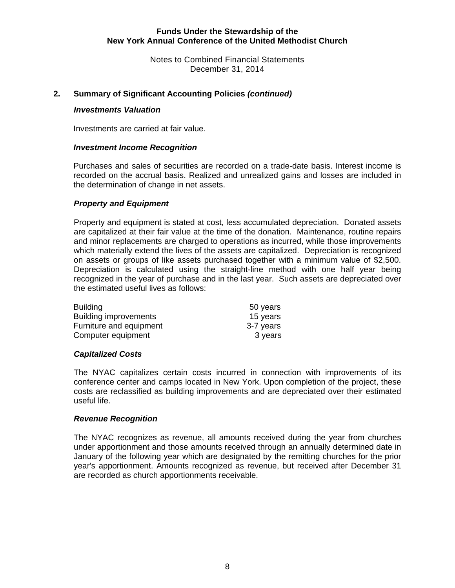Notes to Combined Financial Statements December 31, 2014

## **2. Summary of Significant Accounting Policies** *(continued)*

#### *Investments Valuation*

Investments are carried at fair value.

#### *Investment Income Recognition*

Purchases and sales of securities are recorded on a trade-date basis. Interest income is recorded on the accrual basis. Realized and unrealized gains and losses are included in the determination of change in net assets.

# *Property and Equipment*

Property and equipment is stated at cost, less accumulated depreciation. Donated assets are capitalized at their fair value at the time of the donation. Maintenance, routine repairs and minor replacements are charged to operations as incurred, while those improvements which materially extend the lives of the assets are capitalized. Depreciation is recognized on assets or groups of like assets purchased together with a minimum value of \$2,500. Depreciation is calculated using the straight-line method with one half year being recognized in the year of purchase and in the last year. Such assets are depreciated over the estimated useful lives as follows:

| <b>Building</b>              | 50 years  |
|------------------------------|-----------|
| <b>Building improvements</b> | 15 years  |
| Furniture and equipment      | 3-7 years |
| Computer equipment           | 3 years   |

#### *Capitalized Costs*

The NYAC capitalizes certain costs incurred in connection with improvements of its conference center and camps located in New York. Upon completion of the project, these costs are reclassified as building improvements and are depreciated over their estimated useful life.

#### *Revenue Recognition*

The NYAC recognizes as revenue, all amounts received during the year from churches under apportionment and those amounts received through an annually determined date in January of the following year which are designated by the remitting churches for the prior year's apportionment. Amounts recognized as revenue, but received after December 31 are recorded as church apportionments receivable.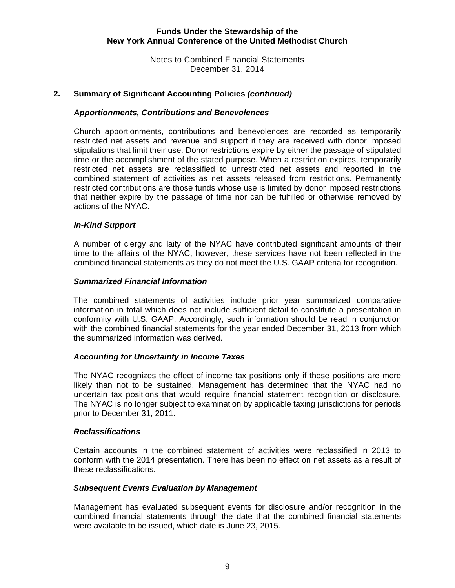Notes to Combined Financial Statements December 31, 2014

# **2. Summary of Significant Accounting Policies** *(continued)*

#### *Apportionments, Contributions and Benevolences*

Church apportionments, contributions and benevolences are recorded as temporarily restricted net assets and revenue and support if they are received with donor imposed stipulations that limit their use. Donor restrictions expire by either the passage of stipulated time or the accomplishment of the stated purpose. When a restriction expires, temporarily restricted net assets are reclassified to unrestricted net assets and reported in the combined statement of activities as net assets released from restrictions. Permanently restricted contributions are those funds whose use is limited by donor imposed restrictions that neither expire by the passage of time nor can be fulfilled or otherwise removed by actions of the NYAC.

#### *In-Kind Support*

A number of clergy and laity of the NYAC have contributed significant amounts of their time to the affairs of the NYAC, however, these services have not been reflected in the combined financial statements as they do not meet the U.S. GAAP criteria for recognition.

#### *Summarized Financial Information*

The combined statements of activities include prior year summarized comparative information in total which does not include sufficient detail to constitute a presentation in conformity with U.S. GAAP. Accordingly, such information should be read in conjunction with the combined financial statements for the year ended December 31, 2013 from which the summarized information was derived.

#### *Accounting for Uncertainty in Income Taxes*

The NYAC recognizes the effect of income tax positions only if those positions are more likely than not to be sustained. Management has determined that the NYAC had no uncertain tax positions that would require financial statement recognition or disclosure. The NYAC is no longer subject to examination by applicable taxing jurisdictions for periods prior to December 31, 2011.

#### *Reclassifications*

Certain accounts in the combined statement of activities were reclassified in 2013 to conform with the 2014 presentation. There has been no effect on net assets as a result of these reclassifications.

#### *Subsequent Events Evaluation by Management*

Management has evaluated subsequent events for disclosure and/or recognition in the combined financial statements through the date that the combined financial statements were available to be issued, which date is June 23, 2015.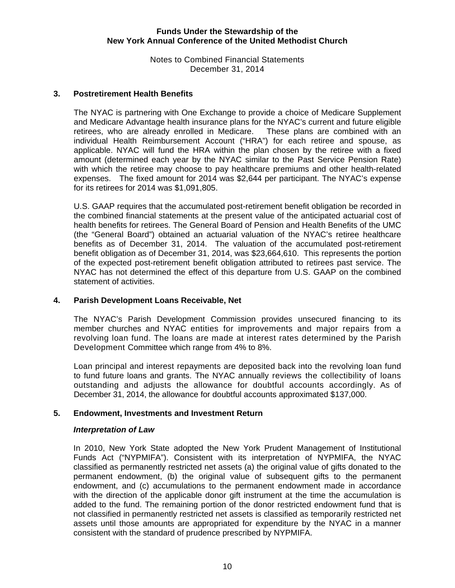Notes to Combined Financial Statements December 31, 2014

### **3. Postretirement Health Benefits**

The NYAC is partnering with One Exchange to provide a choice of Medicare Supplement and Medicare Advantage health insurance plans for the NYAC's current and future eligible retirees, who are already enrolled in Medicare. These plans are combined with an individual Health Reimbursement Account ("HRA") for each retiree and spouse, as applicable. NYAC will fund the HRA within the plan chosen by the retiree with a fixed amount (determined each year by the NYAC similar to the Past Service Pension Rate) with which the retiree may choose to pay healthcare premiums and other health-related expenses. The fixed amount for 2014 was \$2,644 per participant. The NYAC's expense for its retirees for 2014 was \$1,091,805.

U.S. GAAP requires that the accumulated post-retirement benefit obligation be recorded in the combined financial statements at the present value of the anticipated actuarial cost of health benefits for retirees. The General Board of Pension and Health Benefits of the UMC (the "General Board") obtained an actuarial valuation of the NYAC's retiree healthcare benefits as of December 31, 2014. The valuation of the accumulated post-retirement benefit obligation as of December 31, 2014, was \$23,664,610. This represents the portion of the expected post-retirement benefit obligation attributed to retirees past service. The NYAC has not determined the effect of this departure from U.S. GAAP on the combined statement of activities.

# **4. Parish Development Loans Receivable, Net**

The NYAC's Parish Development Commission provides unsecured financing to its member churches and NYAC entities for improvements and major repairs from a revolving loan fund. The loans are made at interest rates determined by the Parish Development Committee which range from 4% to 8%.

Loan principal and interest repayments are deposited back into the revolving loan fund to fund future loans and grants. The NYAC annually reviews the collectibility of loans outstanding and adjusts the allowance for doubtful accounts accordingly. As of December 31, 2014, the allowance for doubtful accounts approximated \$137,000.

# **5. Endowment, Investments and Investment Return**

#### *Interpretation of Law*

In 2010, New York State adopted the New York Prudent Management of Institutional Funds Act ("NYPMIFA"). Consistent with its interpretation of NYPMIFA, the NYAC classified as permanently restricted net assets (a) the original value of gifts donated to the permanent endowment, (b) the original value of subsequent gifts to the permanent endowment, and (c) accumulations to the permanent endowment made in accordance with the direction of the applicable donor gift instrument at the time the accumulation is added to the fund. The remaining portion of the donor restricted endowment fund that is not classified in permanently restricted net assets is classified as temporarily restricted net assets until those amounts are appropriated for expenditure by the NYAC in a manner consistent with the standard of prudence prescribed by NYPMIFA.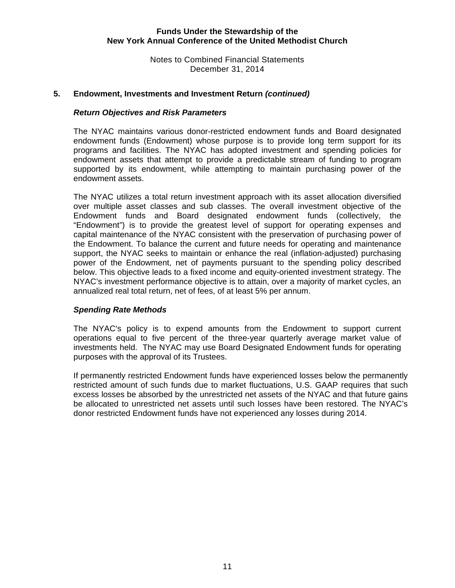Notes to Combined Financial Statements December 31, 2014

#### **5. Endowment, Investments and Investment Return** *(continued)*

### *Return Objectives and Risk Parameters*

The NYAC maintains various donor-restricted endowment funds and Board designated endowment funds (Endowment) whose purpose is to provide long term support for its programs and facilities. The NYAC has adopted investment and spending policies for endowment assets that attempt to provide a predictable stream of funding to program supported by its endowment, while attempting to maintain purchasing power of the endowment assets.

The NYAC utilizes a total return investment approach with its asset allocation diversified over multiple asset classes and sub classes. The overall investment objective of the Endowment funds and Board designated endowment funds (collectively, the "Endowment") is to provide the greatest level of support for operating expenses and capital maintenance of the NYAC consistent with the preservation of purchasing power of the Endowment. To balance the current and future needs for operating and maintenance support, the NYAC seeks to maintain or enhance the real (inflation-adjusted) purchasing power of the Endowment, net of payments pursuant to the spending policy described below. This objective leads to a fixed income and equity-oriented investment strategy. The NYAC's investment performance objective is to attain, over a majority of market cycles, an annualized real total return, net of fees, of at least 5% per annum.

#### *Spending Rate Methods*

The NYAC's policy is to expend amounts from the Endowment to support current operations equal to five percent of the three-year quarterly average market value of investments held. The NYAC may use Board Designated Endowment funds for operating purposes with the approval of its Trustees.

If permanently restricted Endowment funds have experienced losses below the permanently restricted amount of such funds due to market fluctuations, U.S. GAAP requires that such excess losses be absorbed by the unrestricted net assets of the NYAC and that future gains be allocated to unrestricted net assets until such losses have been restored. The NYAC's donor restricted Endowment funds have not experienced any losses during 2014.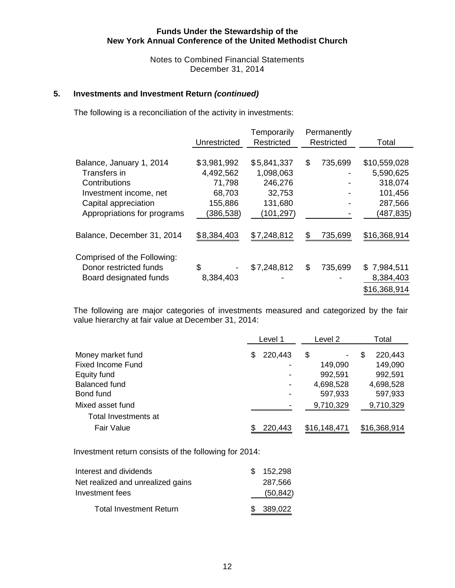Notes to Combined Financial Statements December 31, 2014

# **5. Investments and Investment Return** *(continued)*

The following is a reconciliation of the activity in investments:

|                             | Unrestricted | Temporarily<br>Restricted | Permanently<br>Restricted | Total        |
|-----------------------------|--------------|---------------------------|---------------------------|--------------|
|                             |              |                           |                           |              |
| Balance, January 1, 2014    | \$3,981,992  | \$5,841,337               | \$<br>735,699             | \$10,559,028 |
| Transfers in                | 4,492,562    | 1,098,063                 |                           | 5,590,625    |
| Contributions               | 71,798       | 246,276                   |                           | 318,074      |
| Investment income, net      | 68,703       | 32,753                    |                           | 101,456      |
| Capital appreciation        | 155,886      | 131,680                   |                           | 287,566      |
| Appropriations for programs | (386, 538)   | (101, 297)                |                           | (487,835)    |
| Balance, December 31, 2014  | \$8,384,403  | \$7,248,812               | \$<br>735,699             | \$16,368,914 |
| Comprised of the Following: |              |                           |                           |              |
| Donor restricted funds      | \$           | \$7,248,812               | \$<br>735,699             | \$7,984,511  |
| Board designated funds      | 8,384,403    |                           |                           | 8,384,403    |
|                             |              |                           |                           | \$16,368,914 |

The following are major categories of investments measured and categorized by the fair value hierarchy at fair value at December 31, 2014:

|                          | Level 1                      | Level 2                            | Total        |  |
|--------------------------|------------------------------|------------------------------------|--------------|--|
| Money market fund        | 220,443<br>\$.               | \$<br>$\qquad \qquad \blacksquare$ | 220,443<br>S |  |
| <b>Fixed Income Fund</b> |                              | 149,090                            | 149,090      |  |
| Equity fund              |                              | 992,591                            | 992,591      |  |
| Balanced fund            | $\qquad \qquad \blacksquare$ | 4,698,528                          | 4,698,528    |  |
| Bond fund                |                              | 597,933                            | 597,933      |  |
| Mixed asset fund         |                              | 9,710,329                          | 9,710,329    |  |
| Total Investments at     |                              |                                    |              |  |
| <b>Fair Value</b>        | 220,443                      | \$16,148,471                       | \$16,368,914 |  |

Investment return consists of the following for 2014:

| Interest and dividends            | \$152,298 |
|-----------------------------------|-----------|
| Net realized and unrealized gains | 287,566   |
| Investment fees                   | (50, 842) |
| <b>Total Investment Return</b>    | \$389,022 |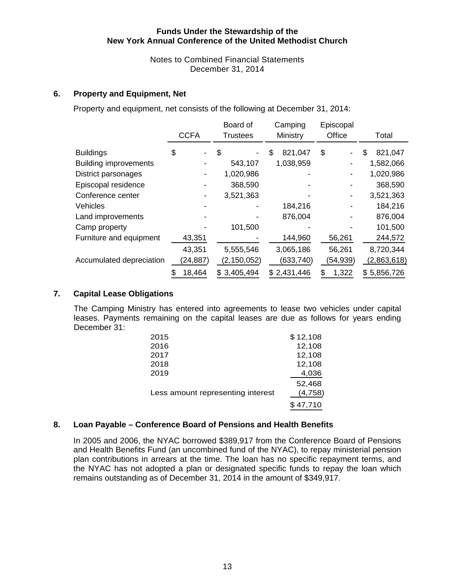Notes to Combined Financial Statements December 31, 2014

## **6. Property and Equipment, Net**

Property and equipment, net consists of the following at December 31, 2014:

|                              | <b>CCFA</b>  | Board of<br><b>Trustees</b> | Camping<br>Ministry | Episcopal<br>Office | Total         |
|------------------------------|--------------|-----------------------------|---------------------|---------------------|---------------|
| <b>Buildings</b>             | \$           | \$                          | 821,047<br>\$       | \$                  | \$<br>821,047 |
| <b>Building improvements</b> |              | 543,107                     | 1,038,959           |                     | 1,582,066     |
| District parsonages          |              | 1,020,986                   |                     |                     | 1,020,986     |
| Episcopal residence          |              | 368,590                     |                     |                     | 368,590       |
| Conference center            |              | 3,521,363                   |                     |                     | 3,521,363     |
| <b>Vehicles</b>              |              |                             | 184,216             |                     | 184,216       |
| Land improvements            |              |                             | 876,004             |                     | 876,004       |
| Camp property                |              | 101,500                     |                     |                     | 101,500       |
| Furniture and equipment      | 43,351       |                             | 144,960             | 56,261              | 244,572       |
|                              | 43,351       | 5,555,546                   | 3,065,186           | 56,261              | 8,720,344     |
| Accumulated depreciation     | (24, 887)    | (2, 150, 052)               | (633, 740)          | (54,939)            | (2,863,618)   |
|                              | 18,464<br>\$ | \$3,405,494                 | \$2,431,446         | 1,322<br>S          | \$5,856,726   |

#### **7. Capital Lease Obligations**

The Camping Ministry has entered into agreements to lease two vehicles under capital leases. Payments remaining on the capital leases are due as follows for years ending December 31:

| 2015                              | \$12,108 |
|-----------------------------------|----------|
| 2016                              | 12,108   |
| 2017                              | 12,108   |
| 2018                              | 12,108   |
| 2019                              | 4,036    |
|                                   | 52.468   |
| Less amount representing interest | (4,758)  |
|                                   | \$47,710 |

#### **8. Loan Payable – Conference Board of Pensions and Health Benefits**

In 2005 and 2006, the NYAC borrowed \$389,917 from the Conference Board of Pensions and Health Benefits Fund (an uncombined fund of the NYAC), to repay ministerial pension plan contributions in arrears at the time. The loan has no specific repayment terms, and the NYAC has not adopted a plan or designated specific funds to repay the loan which remains outstanding as of December 31, 2014 in the amount of \$349,917.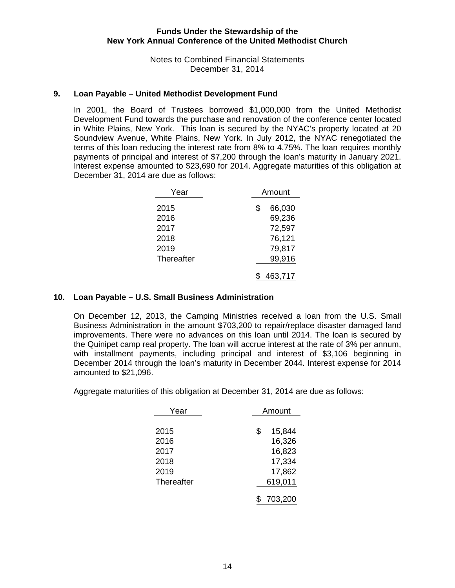Notes to Combined Financial Statements December 31, 2014

#### **9. Loan Payable – United Methodist Development Fund**

In 2001, the Board of Trustees borrowed \$1,000,000 from the United Methodist Development Fund towards the purchase and renovation of the conference center located in White Plains, New York. This loan is secured by the NYAC's property located at 20 Soundview Avenue, White Plains, New York. In July 2012, the NYAC renegotiated the terms of this loan reducing the interest rate from 8% to 4.75%. The loan requires monthly payments of principal and interest of \$7,200 through the loan's maturity in January 2021. Interest expense amounted to \$23,690 for 2014. Aggregate maturities of this obligation at December 31, 2014 are due as follows:

| Year         | Amount |                  |  |
|--------------|--------|------------------|--|
| 2015         | \$     | 66,030           |  |
| 2016<br>2017 |        | 69,236<br>72,597 |  |
| 2018         |        | 76,121           |  |
| 2019         |        | 79,817           |  |
| Thereafter   |        | 99,916           |  |
|              |        | 463,717          |  |

#### **10. Loan Payable – U.S. Small Business Administration**

 On December 12, 2013, the Camping Ministries received a loan from the U.S. Small Business Administration in the amount \$703,200 to repair/replace disaster damaged land improvements. There were no advances on this loan until 2014. The loan is secured by the Quinipet camp real property. The loan will accrue interest at the rate of 3% per annum, with installment payments, including principal and interest of \$3,106 beginning in December 2014 through the loan's maturity in December 2044. Interest expense for 2014 amounted to \$21,096.

Aggregate maturities of this obligation at December 31, 2014 are due as follows:

| Year       | Amount |         |  |
|------------|--------|---------|--|
|            |        |         |  |
| 2015       | \$     | 15,844  |  |
| 2016       |        | 16,326  |  |
| 2017       |        | 16,823  |  |
| 2018       |        | 17,334  |  |
| 2019       | 17,862 |         |  |
| Thereafter |        | 619,011 |  |
|            |        | 703,200 |  |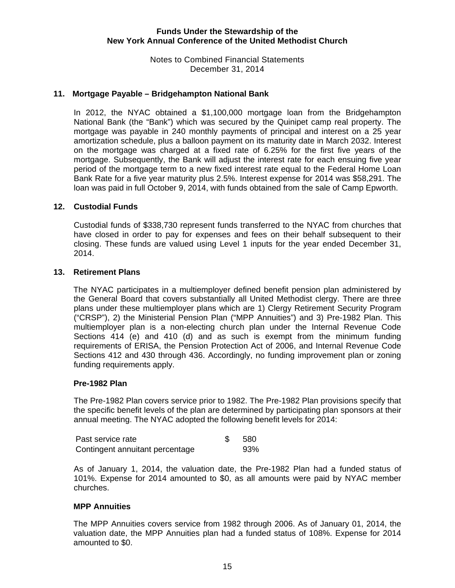Notes to Combined Financial Statements December 31, 2014

### **11. Mortgage Payable – Bridgehampton National Bank**

 In 2012, the NYAC obtained a \$1,100,000 mortgage loan from the Bridgehampton National Bank (the "Bank") which was secured by the Quinipet camp real property. The mortgage was payable in 240 monthly payments of principal and interest on a 25 year amortization schedule, plus a balloon payment on its maturity date in March 2032. Interest on the mortgage was charged at a fixed rate of 6.25% for the first five years of the mortgage. Subsequently, the Bank will adjust the interest rate for each ensuing five year period of the mortgage term to a new fixed interest rate equal to the Federal Home Loan Bank Rate for a five year maturity plus 2.5%. Interest expense for 2014 was \$58,291. The loan was paid in full October 9, 2014, with funds obtained from the sale of Camp Epworth.

#### **12. Custodial Funds**

Custodial funds of \$338,730 represent funds transferred to the NYAC from churches that have closed in order to pay for expenses and fees on their behalf subsequent to their closing. These funds are valued using Level 1 inputs for the year ended December 31, 2014.

#### **13. Retirement Plans**

The NYAC participates in a multiemployer defined benefit pension plan administered by the General Board that covers substantially all United Methodist clergy. There are three plans under these multiemployer plans which are 1) Clergy Retirement Security Program ("CRSP"), 2) the Ministerial Pension Plan ("MPP Annuities") and 3) Pre-1982 Plan. This multiemployer plan is a non-electing church plan under the Internal Revenue Code Sections 414 (e) and 410 (d) and as such is exempt from the minimum funding requirements of ERISA, the Pension Protection Act of 2006, and Internal Revenue Code Sections 412 and 430 through 436. Accordingly, no funding improvement plan or zoning funding requirements apply.

#### **Pre-1982 Plan**

The Pre-1982 Plan covers service prior to 1982. The Pre-1982 Plan provisions specify that the specific benefit levels of the plan are determined by participating plan sponsors at their annual meeting. The NYAC adopted the following benefit levels for 2014:

| Past service rate               | -580 |
|---------------------------------|------|
| Contingent annuitant percentage | 93%  |

As of January 1, 2014, the valuation date, the Pre-1982 Plan had a funded status of 101%. Expense for 2014 amounted to \$0, as all amounts were paid by NYAC member churches.

#### **MPP Annuities**

The MPP Annuities covers service from 1982 through 2006. As of January 01, 2014, the valuation date, the MPP Annuities plan had a funded status of 108%. Expense for 2014 amounted to \$0.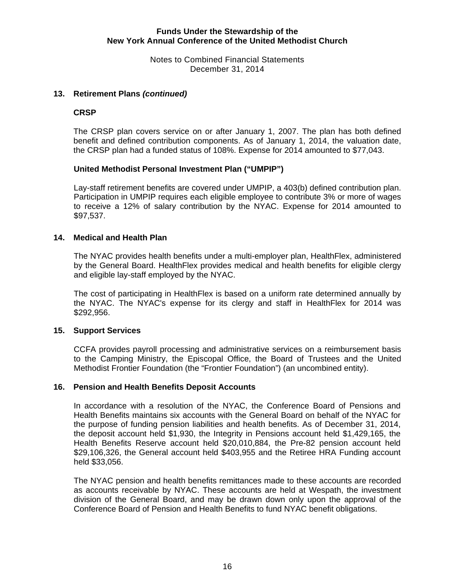Notes to Combined Financial Statements December 31, 2014

### **13. Retirement Plans** *(continued)*

### **CRSP**

The CRSP plan covers service on or after January 1, 2007. The plan has both defined benefit and defined contribution components. As of January 1, 2014, the valuation date, the CRSP plan had a funded status of 108%. Expense for 2014 amounted to \$77,043.

### **United Methodist Personal Investment Plan ("UMPIP")**

Lay-staff retirement benefits are covered under UMPIP, a 403(b) defined contribution plan. Participation in UMPIP requires each eligible employee to contribute 3% or more of wages to receive a 12% of salary contribution by the NYAC. Expense for 2014 amounted to \$97,537.

### **14. Medical and Health Plan**

The NYAC provides health benefits under a multi-employer plan, HealthFlex, administered by the General Board. HealthFlex provides medical and health benefits for eligible clergy and eligible lay-staff employed by the NYAC.

The cost of participating in HealthFlex is based on a uniform rate determined annually by the NYAC. The NYAC's expense for its clergy and staff in HealthFlex for 2014 was \$292,956.

#### **15. Support Services**

CCFA provides payroll processing and administrative services on a reimbursement basis to the Camping Ministry, the Episcopal Office, the Board of Trustees and the United Methodist Frontier Foundation (the "Frontier Foundation") (an uncombined entity).

#### **16. Pension and Health Benefits Deposit Accounts**

In accordance with a resolution of the NYAC, the Conference Board of Pensions and Health Benefits maintains six accounts with the General Board on behalf of the NYAC for the purpose of funding pension liabilities and health benefits. As of December 31, 2014, the deposit account held \$1,930, the Integrity in Pensions account held \$1,429,165, the Health Benefits Reserve account held \$20,010,884, the Pre-82 pension account held \$29,106,326, the General account held \$403,955 and the Retiree HRA Funding account held \$33,056.

The NYAC pension and health benefits remittances made to these accounts are recorded as accounts receivable by NYAC. These accounts are held at Wespath, the investment division of the General Board, and may be drawn down only upon the approval of the Conference Board of Pension and Health Benefits to fund NYAC benefit obligations.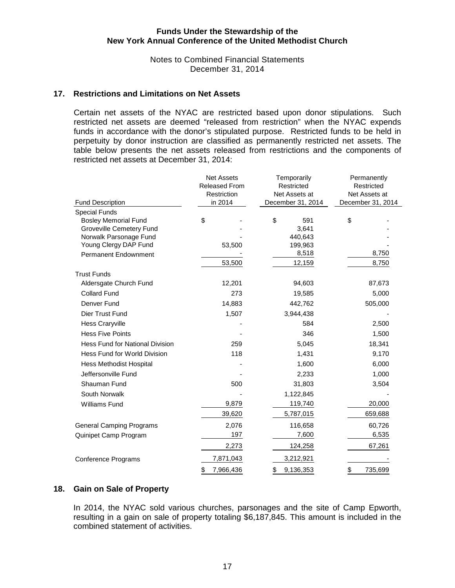Notes to Combined Financial Statements December 31, 2014

#### **17. Restrictions and Limitations on Net Assets**

Certain net assets of the NYAC are restricted based upon donor stipulations. Such restricted net assets are deemed "released from restriction" when the NYAC expends funds in accordance with the donor's stipulated purpose. Restricted funds to be held in perpetuity by donor instruction are classified as permanently restricted net assets. The table below presents the net assets released from restrictions and the components of restricted net assets at December 31, 2014:

|                                                                                 | <b>Net Assets</b><br>Temporarily<br>Released From<br>Restricted<br>Restriction<br>Net Assets at |                             | Permanently<br>Restricted<br>Net Assets at |  |  |
|---------------------------------------------------------------------------------|-------------------------------------------------------------------------------------------------|-----------------------------|--------------------------------------------|--|--|
| <b>Fund Description</b>                                                         | in 2014                                                                                         | December 31, 2014           | December 31, 2014                          |  |  |
| <b>Special Funds</b><br><b>Bosley Memorial Fund</b><br>Groveville Cemetery Fund | \$                                                                                              | \$<br>591<br>3,641          | \$                                         |  |  |
| Norwalk Parsonage Fund<br>Young Clergy DAP Fund<br>Permanent Endownment         | 53,500                                                                                          | 440,643<br>199,963<br>8,518 | 8,750                                      |  |  |
|                                                                                 | 53,500                                                                                          | 12,159                      | 8,750                                      |  |  |
| <b>Trust Funds</b>                                                              |                                                                                                 |                             |                                            |  |  |
| Aldersgate Church Fund                                                          | 12,201                                                                                          | 94,603                      | 87,673                                     |  |  |
| <b>Collard Fund</b>                                                             | 273                                                                                             | 19,585                      | 5,000                                      |  |  |
| Denver Fund                                                                     | 14,883                                                                                          | 442,762                     | 505,000                                    |  |  |
| Dier Trust Fund                                                                 | 1,507                                                                                           | 3,944,438                   |                                            |  |  |
| <b>Hess Craryville</b>                                                          |                                                                                                 | 584                         | 2,500                                      |  |  |
| <b>Hess Five Points</b>                                                         |                                                                                                 | 346                         | 1,500                                      |  |  |
| <b>Hess Fund for National Division</b>                                          | 259                                                                                             | 5,045                       | 18,341                                     |  |  |
| Hess Fund for World Division                                                    | 118                                                                                             | 1,431                       | 9,170                                      |  |  |
| <b>Hess Methodist Hospital</b>                                                  |                                                                                                 | 1,600                       | 6,000                                      |  |  |
| Jeffersonville Fund                                                             |                                                                                                 | 2,233                       | 1,000                                      |  |  |
| Shauman Fund                                                                    | 500                                                                                             | 31,803                      | 3,504                                      |  |  |
| South Norwalk                                                                   |                                                                                                 | 1,122,845                   |                                            |  |  |
| <b>Williams Fund</b>                                                            | 9,879                                                                                           | 119,740                     | 20,000                                     |  |  |
|                                                                                 | 39,620                                                                                          | 5,787,015                   | 659,688                                    |  |  |
| <b>General Camping Programs</b>                                                 | 2,076                                                                                           | 116,658                     | 60,726                                     |  |  |
| Quinipet Camp Program                                                           | 197                                                                                             | 7,600                       | 6,535                                      |  |  |
|                                                                                 | 2,273                                                                                           | 124,258                     | 67,261                                     |  |  |
| <b>Conference Programs</b>                                                      | 7,871,043                                                                                       | 3,212,921                   |                                            |  |  |
|                                                                                 | 7,966,436<br>\$                                                                                 | \$<br>9,136,353             | \$<br>735,699                              |  |  |

#### **18. Gain on Sale of Property**

In 2014, the NYAC sold various churches, parsonages and the site of Camp Epworth, resulting in a gain on sale of property totaling \$6,187,845. This amount is included in the combined statement of activities.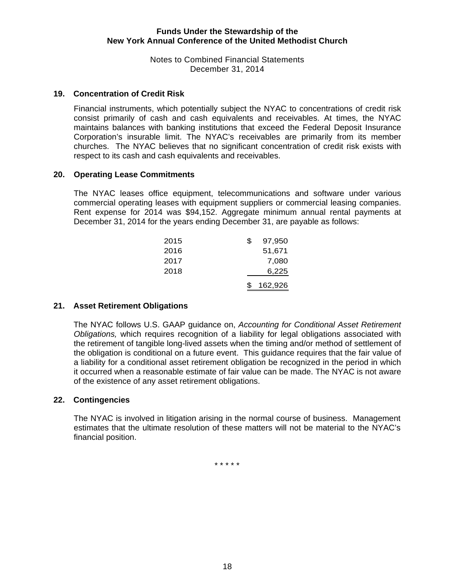Notes to Combined Financial Statements December 31, 2014

#### **19. Concentration of Credit Risk**

Financial instruments, which potentially subject the NYAC to concentrations of credit risk consist primarily of cash and cash equivalents and receivables. At times, the NYAC maintains balances with banking institutions that exceed the Federal Deposit Insurance Corporation's insurable limit. The NYAC's receivables are primarily from its member churches. The NYAC believes that no significant concentration of credit risk exists with respect to its cash and cash equivalents and receivables.

### **20. Operating Lease Commitments**

The NYAC leases office equipment, telecommunications and software under various commercial operating leases with equipment suppliers or commercial leasing companies. Rent expense for 2014 was \$94,152. Aggregate minimum annual rental payments at December 31, 2014 for the years ending December 31, are payable as follows:

|      |  |   | 162,926 |
|------|--|---|---------|
| 2018 |  |   | 6,225   |
|      |  |   |         |
| 2017 |  |   | 7,080   |
| 2016 |  |   | 51,671  |
| 2015 |  | S | 97,950  |

# **21. Asset Retirement Obligations**

 The NYAC follows U.S. GAAP guidance on, *Accounting for Conditional Asset Retirement Obligations,* which requires recognition of a liability for legal obligations associated with the retirement of tangible long-lived assets when the timing and/or method of settlement of the obligation is conditional on a future event. This guidance requires that the fair value of a liability for a conditional asset retirement obligation be recognized in the period in which it occurred when a reasonable estimate of fair value can be made. The NYAC is not aware of the existence of any asset retirement obligations.

#### **22. Contingencies**

The NYAC is involved in litigation arising in the normal course of business. Management estimates that the ultimate resolution of these matters will not be material to the NYAC's financial position.

\* \* \* \* \*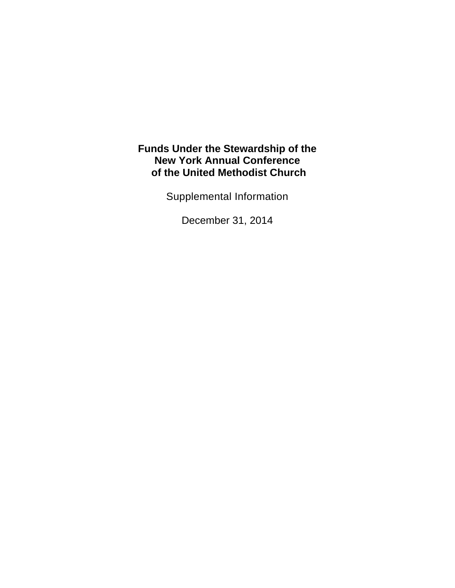Supplemental Information

December 31, 2014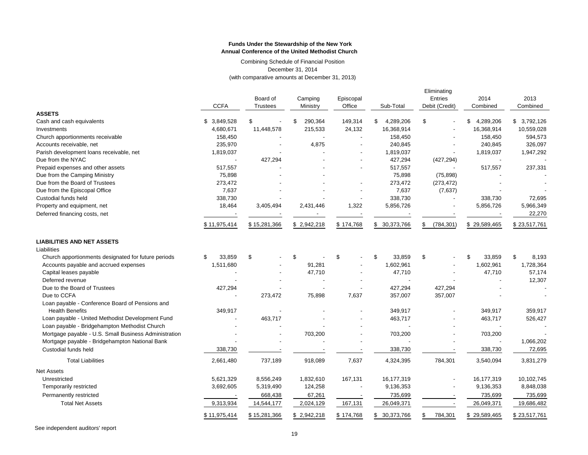Combining Schedule of Financial Position December 31, 2014 (with comparative amounts at December 31, 2013)

|                                                       |                          | Board of                 | Camping       | Episcopal      |                      | Eliminating<br><b>Entries</b> | 2014            | 2013         |
|-------------------------------------------------------|--------------------------|--------------------------|---------------|----------------|----------------------|-------------------------------|-----------------|--------------|
|                                                       | <b>CCFA</b>              | <b>Trustees</b>          | Ministry      | Office         | Sub-Total            | Debit (Credit)                | Combined        | Combined     |
| <b>ASSETS</b><br>Cash and cash equivalents            | \$ 3,849,528             | \$                       | 290,364<br>\$ | 149,314        | \$<br>4,289,206      | \$                            | 4,289,206<br>\$ | \$3,792,126  |
| Investments                                           | 4,680,671                | 11,448,578               | 215,533       | 24,132         | 16,368,914           |                               | 16,368,914      | 10,559,028   |
| Church apportionments receivable                      | 158,450                  |                          |               | $\overline{a}$ | 158,450              |                               | 158,450         | 594,573      |
| Accounts receivable, net                              | 235,970                  |                          |               |                | 240,845              |                               | 240,845         | 326,097      |
| Parish development loans receivable, net              | 1,819,037                |                          | 4,875         |                |                      |                               | 1,819,037       |              |
| Due from the NYAC                                     | $\overline{\phantom{a}}$ | 427,294                  |               |                | 1,819,037<br>427,294 | (427, 294)                    | $\overline{a}$  | 1,947,292    |
|                                                       |                          |                          |               |                |                      |                               |                 |              |
| Prepaid expenses and other assets                     | 517,557                  |                          |               |                | 517,557              |                               | 517,557         | 237,331      |
| Due from the Camping Ministry                         | 75,898                   |                          |               |                | 75,898               | (75, 898)                     |                 |              |
| Due from the Board of Trustees                        | 273,472                  |                          |               |                | 273,472              | (273, 472)                    |                 |              |
| Due from the Episcopal Office                         | 7,637                    |                          |               |                | 7,637                | (7,637)                       |                 |              |
| Custodial funds held                                  | 338,730                  |                          |               |                | 338,730              |                               | 338,730         | 72,695       |
| Property and equipment, net                           | 18,464                   | 3,405,494                | 2,431,446     | 1,322          | 5,856,726            |                               | 5,856,726       | 5,966,349    |
| Deferred financing costs, net                         |                          |                          |               | . .            |                      |                               |                 | 22,270       |
|                                                       | \$11,975,414             | \$15,281,366             | \$2,942,218   | \$174,768      | \$ 30,373,766        | \$<br>(784,301)               | \$29,589,465    | \$23,517,761 |
| <b>LIABILITIES AND NET ASSETS</b>                     |                          |                          |               |                |                      |                               |                 |              |
| Liabilities                                           |                          |                          |               |                |                      |                               |                 |              |
| Church apportionments designated for future periods   | 33,859<br>S              | \$                       | \$            | \$             | \$<br>33,859         | \$                            | \$<br>33,859    | \$<br>8,193  |
| Accounts payable and accrued expenses                 | 1,511,680                |                          | 91,281        |                | 1,602,961            |                               | 1,602,961       | 1,728,364    |
| Capital leases payable                                |                          |                          | 47,710        |                | 47,710               |                               | 47,710          | 57,174       |
| Deferred revenue                                      |                          |                          |               |                |                      |                               |                 | 12,307       |
| Due to the Board of Trustees                          | 427,294                  |                          |               |                | 427,294              | 427,294                       |                 |              |
| Due to CCFA                                           |                          | 273,472                  | 75,898        | 7,637          | 357,007              | 357,007                       |                 |              |
| Loan payable - Conference Board of Pensions and       |                          |                          |               |                |                      |                               |                 |              |
| <b>Health Benefits</b>                                | 349,917                  |                          |               |                | 349,917              |                               | 349,917         | 359,917      |
| Loan payable - United Methodist Development Fund      |                          | 463,717                  |               |                | 463,717              |                               | 463,717         | 526,427      |
| Loan payable - Bridgehampton Methodist Church         |                          |                          |               |                |                      |                               |                 |              |
| Mortgage payable - U.S. Small Business Administration |                          | $\overline{\phantom{a}}$ | 703,200       |                | 703,200              |                               | 703,200         |              |
| Mortgage payable - Bridgehampton National Bank        |                          |                          |               |                |                      |                               |                 | 1,066,202    |
| Custodial funds held                                  | 338,730                  |                          |               |                | 338,730              |                               | 338,730         | 72,695       |
| <b>Total Liabilities</b>                              | 2,661,480                | 737,189                  | 918,089       | 7,637          | 4,324,395            | 784,301                       | 3,540,094       | 3,831,279    |
| <b>Net Assets</b>                                     |                          |                          |               |                |                      |                               |                 |              |
| Unrestricted                                          | 5,621,329                | 8,556,249                | 1,832,610     | 167,131        | 16,177,319           |                               | 16,177,319      | 10,102,745   |
| Temporarily restricted                                | 3,692,605                | 5,319,490                | 124,258       |                | 9,136,353            |                               | 9,136,353       | 8,848,038    |
| Permanently restricted                                |                          | 668,438                  | 67,261        |                | 735,699              |                               | 735,699         | 735,699      |
| <b>Total Net Assets</b>                               | 9,313,934                | 14,544,177               | 2,024,129     | 167,131        | 26,049,371           |                               | 26,049,371      | 19,686,482   |
|                                                       | \$11,975,414             | \$15,281,366             | \$2,942,218   | \$174,768      | \$ 30,373,766        | \$<br>784,301                 | \$29,589,465    | \$23,517,761 |

See independent auditors' report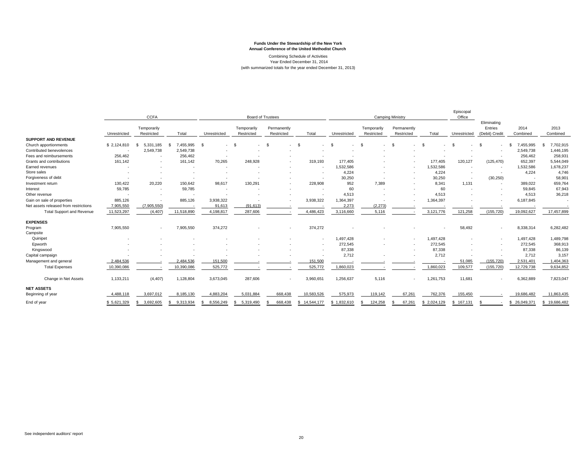Combining Schedule of Activities Year Ended December 31, 2014 (with summarized totals for the year ended December 31, 2013)

|                                       | <b>CCFA</b>  |                           |                   | <b>Board of Trustees</b> |                           |                           | <b>Camping Ministry</b>  |              |                           | Episcopal<br>Office       |             |              |                                          |                  |                  |
|---------------------------------------|--------------|---------------------------|-------------------|--------------------------|---------------------------|---------------------------|--------------------------|--------------|---------------------------|---------------------------|-------------|--------------|------------------------------------------|------------------|------------------|
|                                       | Unrestricted | Temporarily<br>Restricted | Total             | Unrestricted             | Temporarily<br>Restricted | Permanently<br>Restricted | Total                    | Unrestricted | Temporarily<br>Restricted | Permanently<br>Restricted | Total       | Unrestricted | Eliminating<br>Entries<br>(Debit) Credit | 2014<br>Combined | 2013<br>Combined |
| <b>SUPPORT AND REVENUE</b>            |              |                           |                   |                          |                           |                           |                          |              |                           |                           |             |              |                                          |                  |                  |
| Church apportionments                 | \$2,124,810  | 5,331,185                 | 7,455,995         | - \$                     | <b>S</b>                  |                           | $\mathfrak{L}$           | $\mathbf{s}$ | - 93                      | $\overline{\phantom{a}}$  | £.          | - \$         |                                          | 7,455,995        | 7,702,915        |
| Contributed benevolences              |              | 2,549,738                 | 2,549,738         |                          |                           |                           |                          |              |                           |                           |             |              |                                          | 2,549,738        | 1,446,195        |
| Fees and reimbursements               | 256,462      | $\overline{\phantom{a}}$  | 256,462           |                          |                           |                           |                          |              |                           |                           |             |              |                                          | 256,462          | 258,931          |
| Grants and contributions              | 161,142      | ٠                         | 161,142           | 70,265                   | 248,928                   |                           | 319,193                  | 177,405      |                           |                           | 177,405     | 120,127      | (125, 470)                               | 652,397          | 5,544,049        |
| Earned revenues                       |              |                           |                   |                          |                           |                           |                          | 1,532,586    |                           | $\blacksquare$            | 1,532,586   |              |                                          | 1,532,586        | 1,678,237        |
| Store sales                           |              |                           |                   |                          |                           |                           |                          | 4,224        |                           |                           | 4,224       |              |                                          | 4,224            | 4,746            |
| Forgiveness of debt                   |              |                           |                   |                          |                           |                           |                          | 30,250       |                           |                           | 30,250      |              | (30, 250)                                |                  | 58,901           |
| Investment return                     | 130,422      | 20,220                    | 150,642           | 98,617                   | 130,291                   |                           | 228,908                  | 952          | 7,389                     |                           | 8,341       | 1,131        | $\sim$                                   | 389,022          | 659,764          |
| Interest                              | 59,785       |                           | 59,785            |                          |                           |                           |                          | 60           |                           |                           | 60          |              |                                          | 59,845           | 67,943           |
| Other revenue                         |              | $\overline{\phantom{a}}$  |                   |                          |                           |                           |                          | 4,513        |                           |                           | 4,513       |              |                                          | 4,513            | 36,218           |
| Gain on sale of properties            | 885,126      |                           | 885,126           | 3,938,322                |                           |                           | 3,938,322                | 1,364,397    |                           |                           | 1,364,397   |              |                                          | 6,187,845        |                  |
| Net assets released from restrictions | 7,905,550    | (7,905,550)               |                   | 91,613                   | (91, 613)                 |                           |                          | 2,273        | (2, 273)                  |                           |             |              |                                          |                  |                  |
| <b>Total Support and Revenue</b>      | 11,523,297   | (4, 407)                  | 11,518,890        | 4,198,817                | 287,606                   |                           | 4,486,423                | 3,116,660    | 5,116                     |                           | 3,121,776   | 121,258      | (155, 720)                               | 19,092,627       | 17,457,899       |
| <b>EXPENSES</b>                       |              |                           |                   |                          |                           |                           |                          |              |                           |                           |             |              |                                          |                  |                  |
| Program                               | 7,905,550    | $\overline{\phantom{a}}$  | 7,905,550         | 374,272                  |                           |                           | 374,272                  |              |                           |                           |             | 58,492       | ٠                                        | 8,338,314        | 6,282,482        |
| Campsite                              |              |                           |                   |                          |                           |                           |                          |              |                           |                           |             |              |                                          |                  |                  |
| Quinipet                              |              |                           |                   |                          |                           |                           | $\overline{\phantom{a}}$ | 1,497,428    |                           | $\overline{\phantom{a}}$  | 1,497,428   |              | ٠                                        | 1,497,428        | 1,489,798        |
| Epworth                               |              |                           |                   |                          |                           |                           | ٠.                       | 272,545      |                           |                           | 272,545     |              |                                          | 272,545          | 368,913          |
| Kingswood                             |              |                           |                   |                          |                           |                           |                          | 87,338       |                           |                           | 87,338      |              |                                          | 87,338           | 86,139           |
| Capital campaign                      |              |                           |                   |                          |                           |                           |                          | 2,712        |                           |                           | 2,712       |              |                                          | 2,712            | 3,157            |
| Management and general                | 2,484,536    |                           | 2,484,536         | 151,500                  |                           |                           | 151,500                  |              |                           |                           |             | 51,085       | (155, 720)                               | 2,531,401        | 1,404,363        |
| <b>Total Expenses</b>                 | 10,390,086   |                           | 10,390,086        | 525,772                  |                           |                           | 525,772                  | 1,860,023    |                           |                           | 1,860,023   | 109,577      | (155, 720)                               | 12,729,738       | 9,634,852        |
| Change in Net Assets                  | 1,133,211    | (4, 407)                  | 1,128,804         | 3,673,045                | 287,606                   |                           | 3,960,651                | 1,256,637    | 5,116                     | $\sim$                    | 1,261,753   | 11,681       | ٠                                        | 6,362,889        | 7,823,047        |
| <b>NET ASSETS</b>                     |              |                           |                   |                          |                           |                           |                          |              |                           |                           |             |              |                                          |                  |                  |
| Beginning of year                     | 4,488,118    | 3,697,012                 | 8,185,130         | 4,883,204                | 5,031,884                 | 668,438                   | 10,583,526               | 575,973      | 119,142                   | 67,261                    | 762,376     | 155,450      |                                          | 19,686,482       | 11,863,435       |
| End of year                           | \$5,621,329  | 3,692,605                 | 9,313,934<br>- 55 | 8,556,249                | 5,319,490<br>\$           | 668,438                   | \$14,544,177             | \$1,832,610  | 124,258                   | 67,261                    | \$2,024,129 | \$167,131    |                                          | 26,049,371       | \$19,686,482     |